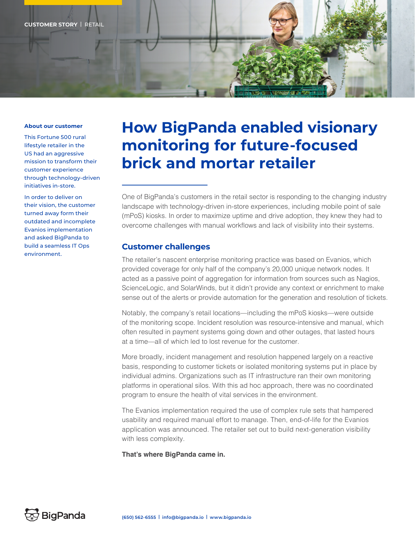

#### **About our customer**

This Fortune 500 rural lifestyle retailer in the US had an aggressive mission to transform their customer experience through technology-driven initiatives in-store.

In order to deliver on their vision, the customer turned away form their outdated and incomplete Evanios implementation and asked BigPanda to build a seamless IT Ops environment.

# **How BigPanda enabled visionary monitoring for future-focused brick and mortar retailer**

One of BigPanda's customers in the retail sector is responding to the changing industry landscape with technology-driven in-store experiences, including mobile point of sale (mPoS) kiosks. In order to maximize uptime and drive adoption, they knew they had to overcome challenges with manual workflows and lack of visibility into their systems.

# **Customer challenges**

The retailer's nascent enterprise monitoring practice was based on Evanios, which provided coverage for only half of the company's 20,000 unique network nodes. It acted as a passive point of aggregation for information from sources such as Nagios, ScienceLogic, and SolarWinds, but it didn't provide any context or enrichment to make sense out of the alerts or provide automation for the generation and resolution of tickets.

Notably, the company's retail locations—including the mPoS kiosks—were outside of the monitoring scope. Incident resolution was resource-intensive and manual, which often resulted in payment systems going down and other outages, that lasted hours at a time—all of which led to lost revenue for the customer.

More broadly, incident management and resolution happened largely on a reactive basis, responding to customer tickets or isolated monitoring systems put in place by individual admins. Organizations such as IT infrastructure ran their own monitoring platforms in operational silos. With this ad hoc approach, there was no coordinated program to ensure the health of vital services in the environment.

The Evanios implementation required the use of complex rule sets that hampered usability and required manual effort to manage. Then, end-of-life for the Evanios application was announced. The retailer set out to build next-generation visibility with less complexity.

**That's where BigPanda came in.**

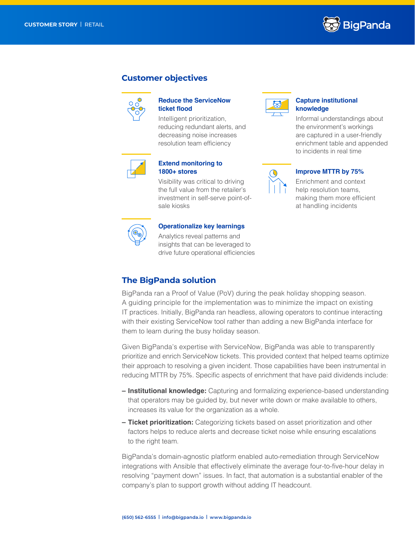

# **Customer objectives**



#### **Reduce the ServiceNow ticket flood**

Intelligent prioritization, reducing redundant alerts, and decreasing noise increases resolution team efficiency



### **Extend monitoring to 1800+ stores**

Visibility was critical to driving the full value from the retailer's investment in self-serve point-ofsale kiosks



## **Operationalize key learnings**

Analytics reveal patterns and insights that can be leveraged to drive future operational efficiencies



#### **Capture institutional knowledge**

Informal understandings about the environment's workings are captured in a user-friendly enrichment table and appended to incidents in real time



#### **Improve MTTR by 75%**

Enrichment and context help resolution teams. making them more efficient at handling incidents



# **The BigPanda solution**

BigPanda ran a Proof of Value (PoV) during the peak holiday shopping season. A guiding principle for the implementation was to minimize the impact on existing IT practices. Initially, BigPanda ran headless, allowing operators to continue interacting with their existing ServiceNow tool rather than adding a new BigPanda interface for them to learn during the busy holiday season.

Given BigPanda's expertise with ServiceNow, BigPanda was able to transparently prioritize and enrich ServiceNow tickets. This provided context that helped teams optimize their approach to resolving a given incident. Those capabilities have been instrumental in reducing MTTR by 75%. Specific aspects of enrichment that have paid dividends include:

- **– Institutional knowledge:** Capturing and formalizing experience-based understanding that operators may be guided by, but never write down or make available to others, increases its value for the organization as a whole.
- **– Ticket prioritization:** Categorizing tickets based on asset prioritization and other factors helps to reduce alerts and decrease ticket noise while ensuring escalations to the right team.

BigPanda's domain-agnostic platform enabled auto-remediation through ServiceNow integrations with Ansible that effectively eliminate the average four-to-five-hour delay in resolving "payment down" issues. In fact, that automation is a substantial enabler of the company's plan to support growth without adding IT headcount.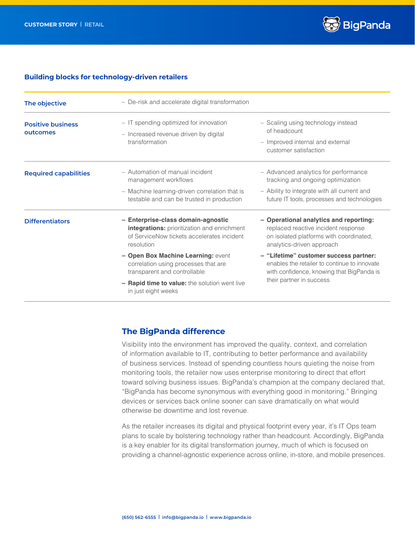

#### **Building blocks for technology-driven retailers**

| The objective                        | - De-risk and accelerate digital transformation                                                                                               |                                                                                                                                                                 |
|--------------------------------------|-----------------------------------------------------------------------------------------------------------------------------------------------|-----------------------------------------------------------------------------------------------------------------------------------------------------------------|
| <b>Positive business</b><br>outcomes | - IT spending optimized for innovation<br>- Increased revenue driven by digital<br>transformation                                             | - Scaling using technology instead<br>of headcount<br>- Improved internal and external<br>customer satisfaction                                                 |
| <b>Required capabilities</b>         | - Automation of manual incident<br>management workflows                                                                                       | - Advanced analytics for performance<br>tracking and ongoing optimization                                                                                       |
|                                      | - Machine learning-driven correlation that is<br>testable and can be trusted in production                                                    | - Ability to integrate with all current and<br>future IT tools, processes and technologies                                                                      |
| <b>Differentiators</b>               | - Enterprise-class domain-agnostic<br>integrations: prioritization and enrichment<br>of ServiceNow tickets accelerates incident<br>resolution | - Operational analytics and reporting:<br>replaced reactive incident response<br>on isolated platforms with coordinated,<br>analytics-driven approach           |
|                                      | - Open Box Machine Learning: event<br>correlation using processes that are<br>transparent and controllable                                    | - "Lifetime" customer success partner:<br>enables the retailer to continue to innovate<br>with confidence, knowing that BigPanda is<br>their partner in success |
|                                      | - Rapid time to value: the solution went live<br>in just eight weeks                                                                          |                                                                                                                                                                 |

# **The BigPanda difference**

Visibility into the environment has improved the quality, context, and correlation of information available to IT, contributing to better performance and availability of business services. Instead of spending countless hours quieting the noise from monitoring tools, the retailer now uses enterprise monitoring to direct that effort toward solving business issues. BigPanda's champion at the company declared that, "BigPanda has become synonymous with everything good in monitoring." Bringing devices or services back online sooner can save dramatically on what would otherwise be downtime and lost revenue.

As the retailer increases its digital and physical footprint every year, it's IT Ops team plans to scale by bolstering technology rather than headcount. Accordingly, BigPanda is a key enabler for its digital transformation journey, much of which is focused on providing a channel-agnostic experience across online, in-store, and mobile presences.